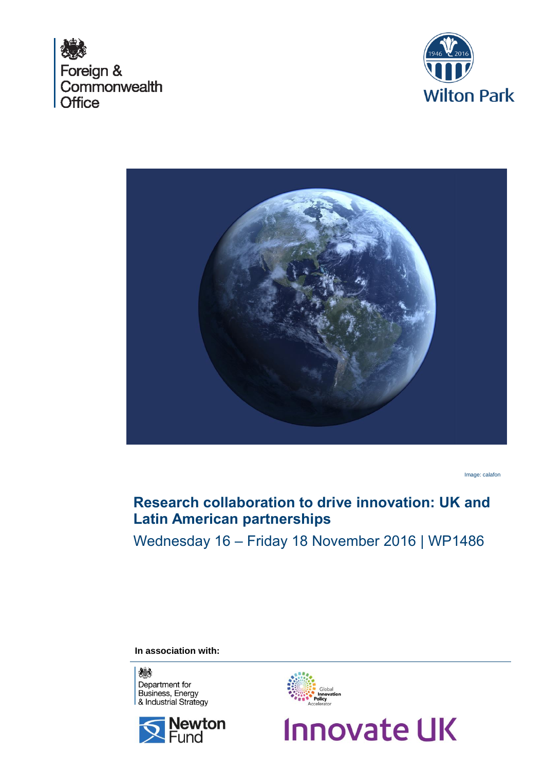





Image: calafon

# **Research collaboration to drive innovation: UK and Latin American partnerships**

Wednesday 16 – Friday 18 November 2016 | WP1486

**In association with:**







**Innovate UK**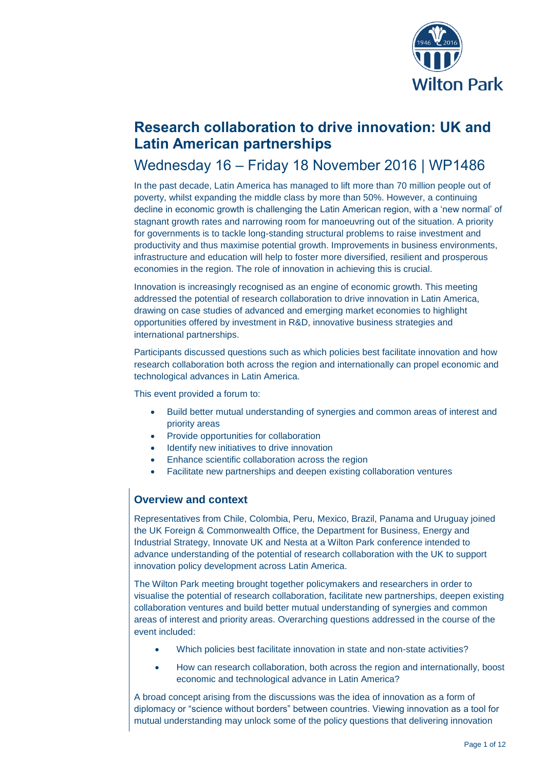

# **Research collaboration to drive innovation: UK and Latin American partnerships**

# Wednesday 16 – Friday 18 November 2016 | WP1486

In the past decade, Latin America has managed to lift more than 70 million people out of poverty, whilst expanding the middle class by more than 50%. However, a continuing decline in economic growth is challenging the Latin American region, with a 'new normal' of stagnant growth rates and narrowing room for manoeuvring out of the situation. A priority for governments is to tackle long-standing structural problems to raise investment and productivity and thus maximise potential growth. Improvements in business environments, infrastructure and education will help to foster more diversified, resilient and prosperous economies in the region. The role of innovation in achieving this is crucial.

Innovation is increasingly recognised as an engine of economic growth. This meeting addressed the potential of research collaboration to drive innovation in Latin America, drawing on case studies of advanced and emerging market economies to highlight opportunities offered by investment in R&D, innovative business strategies and international partnerships.

Participants discussed questions such as which policies best facilitate innovation and how research collaboration both across the region and internationally can propel economic and technological advances in Latin America.

This event provided a forum to:

- Build better mutual understanding of synergies and common areas of interest and priority areas
- Provide opportunities for collaboration
- Identify new initiatives to drive innovation
- Enhance scientific collaboration across the region
- Facilitate new partnerships and deepen existing collaboration ventures

## **Overview and context**

Representatives from Chile, Colombia, Peru, Mexico, Brazil, Panama and Uruguay joined the UK Foreign & Commonwealth Office, the Department for Business, Energy and Industrial Strategy, Innovate UK and Nesta at a Wilton Park conference intended to advance understanding of the potential of research collaboration with the UK to support innovation policy development across Latin America.

The Wilton Park meeting brought together policymakers and researchers in order to visualise the potential of research collaboration, facilitate new partnerships, deepen existing collaboration ventures and build better mutual understanding of synergies and common areas of interest and priority areas. Overarching questions addressed in the course of the event included:

- Which policies best facilitate innovation in state and non-state activities?
- How can research collaboration, both across the region and internationally, boost economic and technological advance in Latin America?

A broad concept arising from the discussions was the idea of innovation as a form of diplomacy or "science without borders" between countries. Viewing innovation as a tool for mutual understanding may unlock some of the policy questions that delivering innovation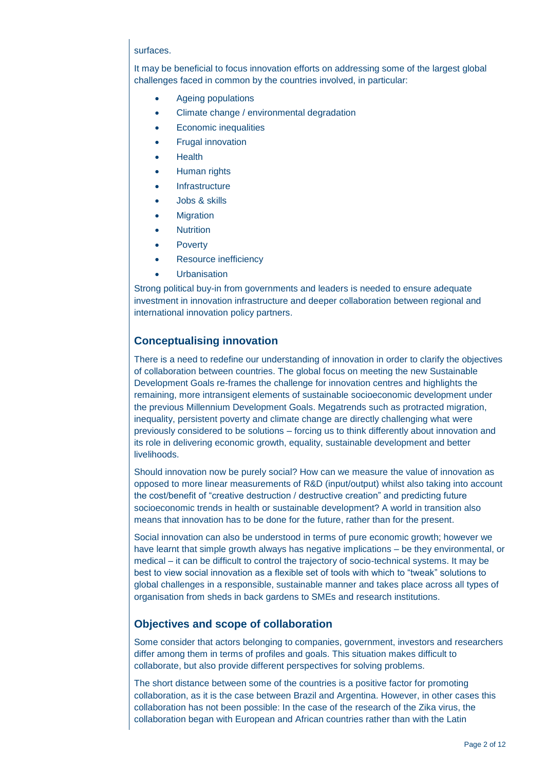#### surfaces.

It may be beneficial to focus innovation efforts on addressing some of the largest global challenges faced in common by the countries involved, in particular:

- Ageing populations
- Climate change / environmental degradation
- Economic inequalities
- Frugal innovation
- **Health**
- Human rights
- **Infrastructure**
- Jobs & skills
- **Migration**
- Nutrition
- **Poverty**
- Resource inefficiency
- **Urbanisation**

Strong political buy-in from governments and leaders is needed to ensure adequate investment in innovation infrastructure and deeper collaboration between regional and international innovation policy partners.

### **Conceptualising innovation**

There is a need to redefine our understanding of innovation in order to clarify the objectives of collaboration between countries. The global focus on meeting the new Sustainable Development Goals re-frames the challenge for innovation centres and highlights the remaining, more intransigent elements of sustainable socioeconomic development under the previous Millennium Development Goals. Megatrends such as protracted migration, inequality, persistent poverty and climate change are directly challenging what were previously considered to be solutions – forcing us to think differently about innovation and its role in delivering economic growth, equality, sustainable development and better livelihoods.

Should innovation now be purely social? How can we measure the value of innovation as opposed to more linear measurements of R&D (input/output) whilst also taking into account the cost/benefit of "creative destruction / destructive creation" and predicting future socioeconomic trends in health or sustainable development? A world in transition also means that innovation has to be done for the future, rather than for the present.

Social innovation can also be understood in terms of pure economic growth; however we have learnt that simple growth always has negative implications – be they environmental, or medical – it can be difficult to control the trajectory of socio-technical systems. It may be best to view social innovation as a flexible set of tools with which to "tweak" solutions to global challenges in a responsible, sustainable manner and takes place across all types of organisation from sheds in back gardens to SMEs and research institutions.

### **Objectives and scope of collaboration**

Some consider that actors belonging to companies, government, investors and researchers differ among them in terms of profiles and goals. This situation makes difficult to collaborate, but also provide different perspectives for solving problems.

The short distance between some of the countries is a positive factor for promoting collaboration, as it is the case between Brazil and Argentina. However, in other cases this collaboration has not been possible: In the case of the research of the Zika virus, the collaboration began with European and African countries rather than with the Latin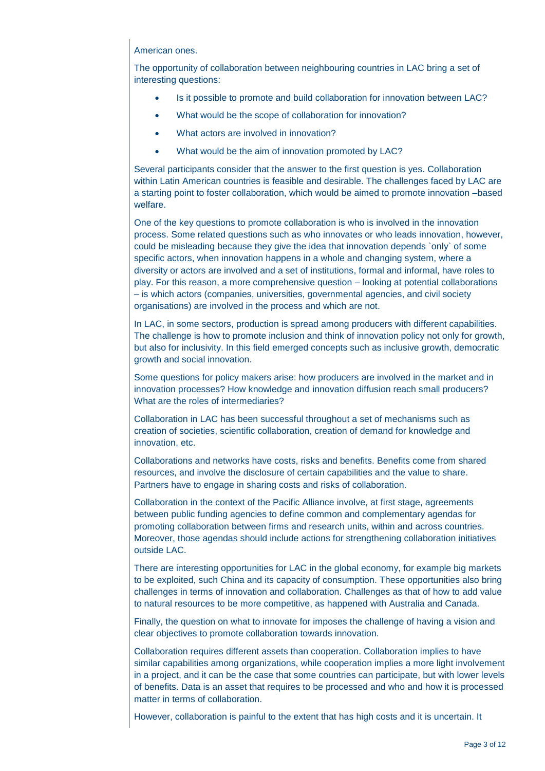#### American ones.

The opportunity of collaboration between neighbouring countries in LAC bring a set of interesting questions:

- Is it possible to promote and build collaboration for innovation between LAC?
- What would be the scope of collaboration for innovation?
- What actors are involved in innovation?
- What would be the aim of innovation promoted by LAC?

Several participants consider that the answer to the first question is yes. Collaboration within Latin American countries is feasible and desirable. The challenges faced by LAC are a starting point to foster collaboration, which would be aimed to promote innovation –based welfare.

One of the key questions to promote collaboration is who is involved in the innovation process. Some related questions such as who innovates or who leads innovation, however, could be misleading because they give the idea that innovation depends `only` of some specific actors, when innovation happens in a whole and changing system, where a diversity or actors are involved and a set of institutions, formal and informal, have roles to play. For this reason, a more comprehensive question – looking at potential collaborations – is which actors (companies, universities, governmental agencies, and civil society organisations) are involved in the process and which are not.

In LAC, in some sectors, production is spread among producers with different capabilities. The challenge is how to promote inclusion and think of innovation policy not only for growth, but also for inclusivity. In this field emerged concepts such as inclusive growth, democratic growth and social innovation.

Some questions for policy makers arise: how producers are involved in the market and in innovation processes? How knowledge and innovation diffusion reach small producers? What are the roles of intermediaries?

Collaboration in LAC has been successful throughout a set of mechanisms such as creation of societies, scientific collaboration, creation of demand for knowledge and innovation, etc.

Collaborations and networks have costs, risks and benefits. Benefits come from shared resources, and involve the disclosure of certain capabilities and the value to share. Partners have to engage in sharing costs and risks of collaboration.

Collaboration in the context of the Pacific Alliance involve, at first stage, agreements between public funding agencies to define common and complementary agendas for promoting collaboration between firms and research units, within and across countries. Moreover, those agendas should include actions for strengthening collaboration initiatives outside LAC.

There are interesting opportunities for LAC in the global economy, for example big markets to be exploited, such China and its capacity of consumption. These opportunities also bring challenges in terms of innovation and collaboration. Challenges as that of how to add value to natural resources to be more competitive, as happened with Australia and Canada.

Finally, the question on what to innovate for imposes the challenge of having a vision and clear objectives to promote collaboration towards innovation.

Collaboration requires different assets than cooperation. Collaboration implies to have similar capabilities among organizations, while cooperation implies a more light involvement in a project, and it can be the case that some countries can participate, but with lower levels of benefits. Data is an asset that requires to be processed and who and how it is processed matter in terms of collaboration.

However, collaboration is painful to the extent that has high costs and it is uncertain. It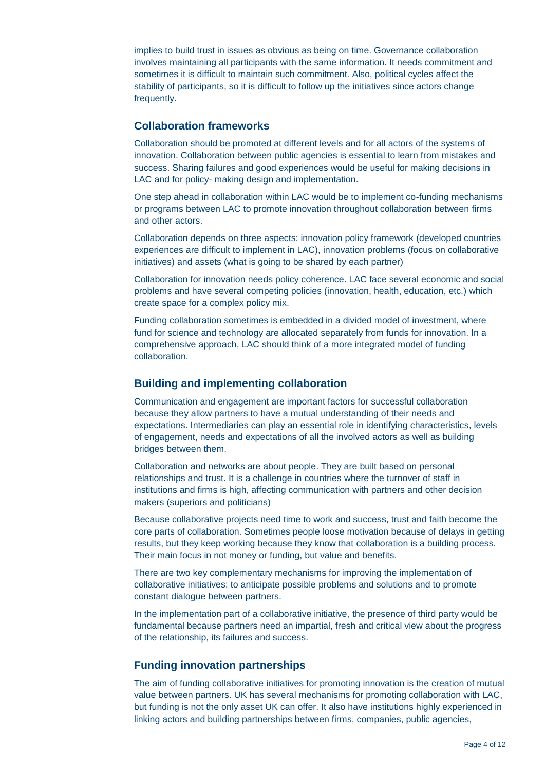implies to build trust in issues as obvious as being on time. Governance collaboration involves maintaining all participants with the same information. It needs commitment and sometimes it is difficult to maintain such commitment. Also, political cycles affect the stability of participants, so it is difficult to follow up the initiatives since actors change frequently.

## **Collaboration frameworks**

Collaboration should be promoted at different levels and for all actors of the systems of innovation. Collaboration between public agencies is essential to learn from mistakes and success. Sharing failures and good experiences would be useful for making decisions in LAC and for policy- making design and implementation.

One step ahead in collaboration within LAC would be to implement co-funding mechanisms or programs between LAC to promote innovation throughout collaboration between firms and other actors.

Collaboration depends on three aspects: innovation policy framework (developed countries experiences are difficult to implement in LAC), innovation problems (focus on collaborative initiatives) and assets (what is going to be shared by each partner)

Collaboration for innovation needs policy coherence. LAC face several economic and social problems and have several competing policies (innovation, health, education, etc.) which create space for a complex policy mix.

Funding collaboration sometimes is embedded in a divided model of investment, where fund for science and technology are allocated separately from funds for innovation. In a comprehensive approach, LAC should think of a more integrated model of funding collaboration.

## **Building and implementing collaboration**

Communication and engagement are important factors for successful collaboration because they allow partners to have a mutual understanding of their needs and expectations. Intermediaries can play an essential role in identifying characteristics, levels of engagement, needs and expectations of all the involved actors as well as building bridges between them.

Collaboration and networks are about people. They are built based on personal relationships and trust. It is a challenge in countries where the turnover of staff in institutions and firms is high, affecting communication with partners and other decision makers (superiors and politicians)

Because collaborative projects need time to work and success, trust and faith become the core parts of collaboration. Sometimes people loose motivation because of delays in getting results, but they keep working because they know that collaboration is a building process. Their main focus in not money or funding, but value and benefits.

There are two key complementary mechanisms for improving the implementation of collaborative initiatives: to anticipate possible problems and solutions and to promote constant dialogue between partners.

In the implementation part of a collaborative initiative, the presence of third party would be fundamental because partners need an impartial, fresh and critical view about the progress of the relationship, its failures and success.

## **Funding innovation partnerships**

The aim of funding collaborative initiatives for promoting innovation is the creation of mutual value between partners. UK has several mechanisms for promoting collaboration with LAC, but funding is not the only asset UK can offer. It also have institutions highly experienced in linking actors and building partnerships between firms, companies, public agencies,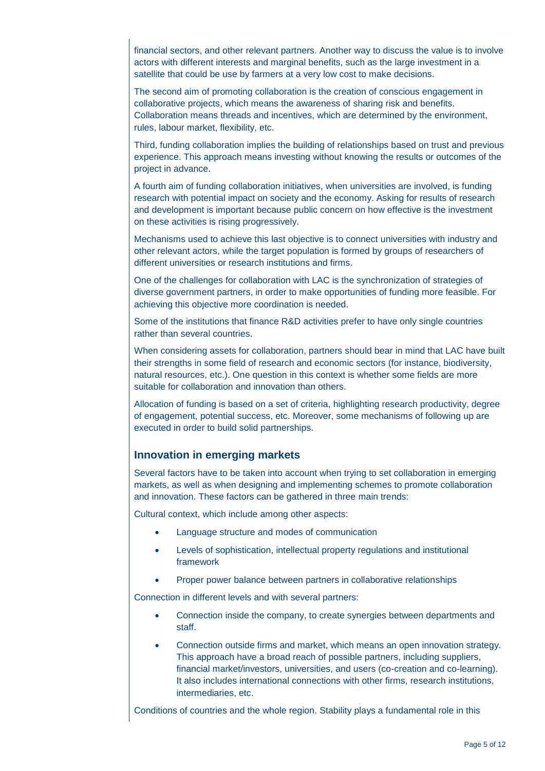financial sectors, and other relevant partners. Another way to discuss the value is to involve actors with different interests and marginal benefits, such as the large investment in a satellite that could be use by farmers at a very low cost to make decisions.

The second aim of promoting collaboration is the creation of conscious engagement in collaborative projects, which means the awareness of sharing risk and benefits. Collaboration means threads and incentives, which are determined by the environment, rules, labour market, flexibility, etc.

Third, funding collaboration implies the building of relationships based on trust and previous experience. This approach means investing without knowing the results or outcomes of the project in advance.

A fourth aim of funding collaboration initiatives, when universities are involved, is funding research with potential impact on society and the economy. Asking for results of research and development is important because public concern on how effective is the investment on these activities is rising progressively.

Mechanisms used to achieve this last objective is to connect universities with industry and other relevant actors, while the target population is formed by groups of researchers of different universities or research institutions and firms.

One of the challenges for collaboration with LAC is the synchronization of strategies of diverse government partners, in order to make opportunities of funding more feasible. For achieving this objective more coordination is needed.

Some of the institutions that finance R&D activities prefer to have only single countries rather than several countries.

When considering assets for collaboration, partners should bear in mind that LAC have built their strengths in some field of research and economic sectors (for instance, biodiversity, natural resources, etc.). One question in this context is whether some fields are more suitable for collaboration and innovation than others.

Allocation of funding is based on a set of criteria, highlighting research productivity, degree of engagement, potential success, etc. Moreover, some mechanisms of following up are executed in order to build solid partnerships.

### **Innovation in emerging markets**

Several factors have to be taken into account when trying to set collaboration in emerging markets, as well as when designing and implementing schemes to promote collaboration and innovation. These factors can be gathered in three main trends:

Cultural context, which include among other aspects:

- Language structure and modes of communication
- Levels of sophistication, intellectual property regulations and institutional framework
- Proper power balance between partners in collaborative relationships

Connection in different levels and with several partners:

- Connection inside the company, to create synergies between departments and staff.
- Connection outside firms and market, which means an open innovation strategy. This approach have a broad reach of possible partners, including suppliers, financial market/investors, universities, and users (co-creation and co-learning). It also includes international connections with other firms, research institutions, intermediaries, etc.

Conditions of countries and the whole region. Stability plays a fundamental role in this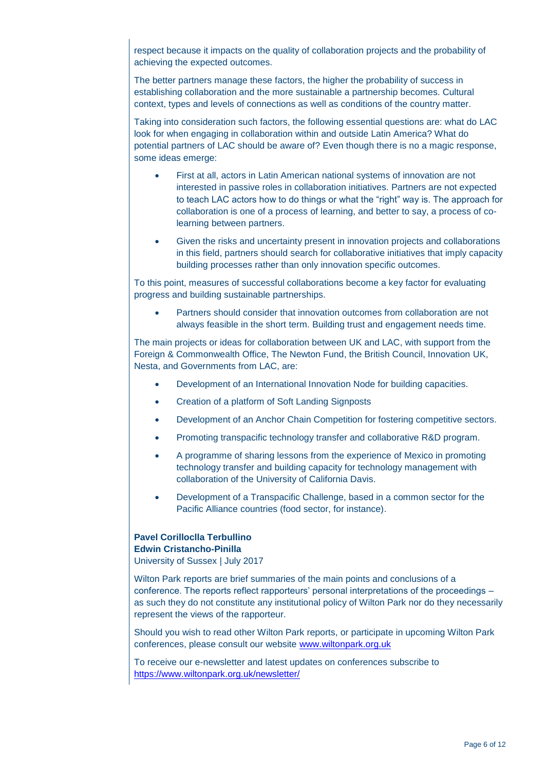respect because it impacts on the quality of collaboration projects and the probability of achieving the expected outcomes.

The better partners manage these factors, the higher the probability of success in establishing collaboration and the more sustainable a partnership becomes. Cultural context, types and levels of connections as well as conditions of the country matter.

Taking into consideration such factors, the following essential questions are: what do LAC look for when engaging in collaboration within and outside Latin America? What do potential partners of LAC should be aware of? Even though there is no a magic response, some ideas emerge:

- First at all, actors in Latin American national systems of innovation are not interested in passive roles in collaboration initiatives. Partners are not expected to teach LAC actors how to do things or what the "right" way is. The approach for collaboration is one of a process of learning, and better to say, a process of colearning between partners.
- Given the risks and uncertainty present in innovation projects and collaborations in this field, partners should search for collaborative initiatives that imply capacity building processes rather than only innovation specific outcomes.

To this point, measures of successful collaborations become a key factor for evaluating progress and building sustainable partnerships.

 Partners should consider that innovation outcomes from collaboration are not always feasible in the short term. Building trust and engagement needs time.

The main projects or ideas for collaboration between UK and LAC, with support from the Foreign & Commonwealth Office, The Newton Fund, the British Council, Innovation UK, Nesta, and Governments from LAC, are:

- Development of an International Innovation Node for building capacities.
- Creation of a platform of Soft Landing Signposts
- Development of an Anchor Chain Competition for fostering competitive sectors.
- Promoting transpacific technology transfer and collaborative R&D program.
- A programme of sharing lessons from the experience of Mexico in promoting technology transfer and building capacity for technology management with collaboration of the University of California Davis.
- Development of a Transpacific Challenge, based in a common sector for the Pacific Alliance countries (food sector, for instance).

## **Pavel Corilloclla Terbullino Edwin Cristancho-Pinilla**

University of Sussex | July 2017

Wilton Park reports are brief summaries of the main points and conclusions of a conference. The reports reflect rapporteurs' personal interpretations of the proceedings – as such they do not constitute any institutional policy of Wilton Park nor do they necessarily represent the views of the rapporteur.

Should you wish to read other Wilton Park reports, or participate in upcoming Wilton Park conferences, please consult our website [www.wiltonpark.org.uk](http://www.wiltonpark.org.uk/)

To receive our e-newsletter and latest updates on conferences subscribe to <https://www.wiltonpark.org.uk/newsletter/>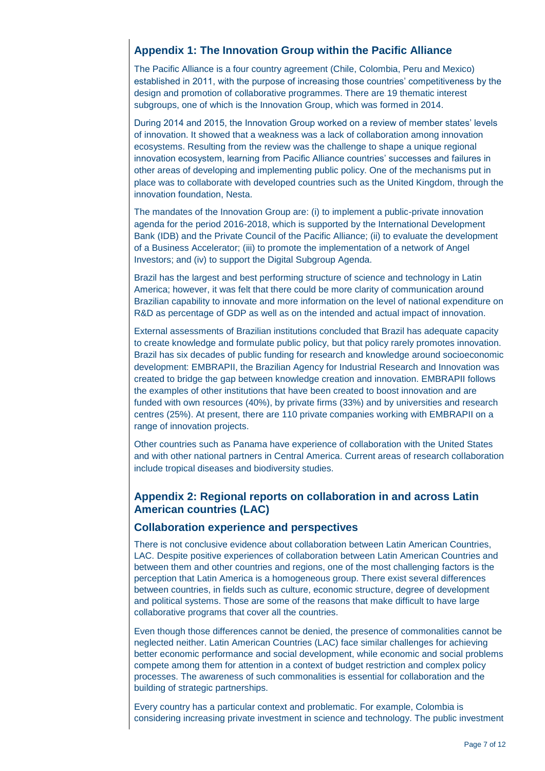## **Appendix 1: The Innovation Group within the Pacific Alliance**

The Pacific Alliance is a four country agreement (Chile, Colombia, Peru and Mexico) established in 2011, with the purpose of increasing those countries' competitiveness by the design and promotion of collaborative programmes. There are 19 thematic interest subgroups, one of which is the Innovation Group, which was formed in 2014.

During 2014 and 2015, the Innovation Group worked on a review of member states' levels of innovation. It showed that a weakness was a lack of collaboration among innovation ecosystems. Resulting from the review was the challenge to shape a unique regional innovation ecosystem, learning from Pacific Alliance countries' successes and failures in other areas of developing and implementing public policy. One of the mechanisms put in place was to collaborate with developed countries such as the United Kingdom, through the innovation foundation, Nesta.

The mandates of the Innovation Group are: (i) to implement a public-private innovation agenda for the period 2016-2018, which is supported by the International Development Bank (IDB) and the Private Council of the Pacific Alliance; (ii) to evaluate the development of a Business Accelerator; (iii) to promote the implementation of a network of Angel Investors; and (iv) to support the Digital Subgroup Agenda.

Brazil has the largest and best performing structure of science and technology in Latin America; however, it was felt that there could be more clarity of communication around Brazilian capability to innovate and more information on the level of national expenditure on R&D as percentage of GDP as well as on the intended and actual impact of innovation.

External assessments of Brazilian institutions concluded that Brazil has adequate capacity to create knowledge and formulate public policy, but that policy rarely promotes innovation. Brazil has six decades of public funding for research and knowledge around socioeconomic development: EMBRAPII, the Brazilian Agency for Industrial Research and Innovation was created to bridge the gap between knowledge creation and innovation. EMBRAPII follows the examples of other institutions that have been created to boost innovation and are funded with own resources (40%), by private firms (33%) and by universities and research centres (25%). At present, there are 110 private companies working with EMBRAPII on a range of innovation projects.

Other countries such as Panama have experience of collaboration with the United States and with other national partners in Central America. Current areas of research collaboration include tropical diseases and biodiversity studies.

## **Appendix 2: Regional reports on collaboration in and across Latin American countries (LAC)**

### **Collaboration experience and perspectives**

There is not conclusive evidence about collaboration between Latin American Countries, LAC. Despite positive experiences of collaboration between Latin American Countries and between them and other countries and regions, one of the most challenging factors is the perception that Latin America is a homogeneous group. There exist several differences between countries, in fields such as culture, economic structure, degree of development and political systems. Those are some of the reasons that make difficult to have large collaborative programs that cover all the countries.

Even though those differences cannot be denied, the presence of commonalities cannot be neglected neither. Latin American Countries (LAC) face similar challenges for achieving better economic performance and social development, while economic and social problems compete among them for attention in a context of budget restriction and complex policy processes. The awareness of such commonalities is essential for collaboration and the building of strategic partnerships.

Every country has a particular context and problematic. For example, Colombia is considering increasing private investment in science and technology. The public investment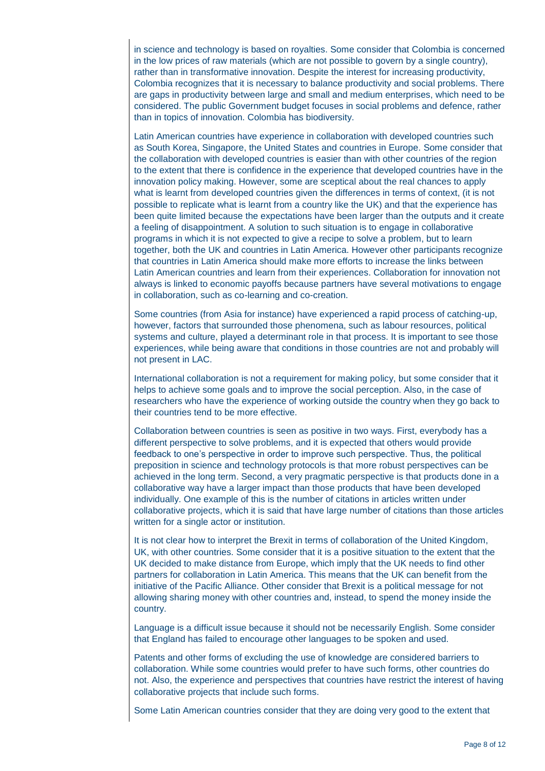in science and technology is based on royalties. Some consider that Colombia is concerned in the low prices of raw materials (which are not possible to govern by a single country), rather than in transformative innovation. Despite the interest for increasing productivity, Colombia recognizes that it is necessary to balance productivity and social problems. There are gaps in productivity between large and small and medium enterprises, which need to be considered. The public Government budget focuses in social problems and defence, rather than in topics of innovation. Colombia has biodiversity.

Latin American countries have experience in collaboration with developed countries such as South Korea, Singapore, the United States and countries in Europe. Some consider that the collaboration with developed countries is easier than with other countries of the region to the extent that there is confidence in the experience that developed countries have in the innovation policy making. However, some are sceptical about the real chances to apply what is learnt from developed countries given the differences in terms of context, (it is not possible to replicate what is learnt from a country like the UK) and that the experience has been quite limited because the expectations have been larger than the outputs and it create a feeling of disappointment. A solution to such situation is to engage in collaborative programs in which it is not expected to give a recipe to solve a problem, but to learn together, both the UK and countries in Latin America. However other participants recognize that countries in Latin America should make more efforts to increase the links between Latin American countries and learn from their experiences. Collaboration for innovation not always is linked to economic payoffs because partners have several motivations to engage in collaboration, such as co-learning and co-creation.

Some countries (from Asia for instance) have experienced a rapid process of catching-up, however, factors that surrounded those phenomena, such as labour resources, political systems and culture, played a determinant role in that process. It is important to see those experiences, while being aware that conditions in those countries are not and probably will not present in LAC.

International collaboration is not a requirement for making policy, but some consider that it helps to achieve some goals and to improve the social perception. Also, in the case of researchers who have the experience of working outside the country when they go back to their countries tend to be more effective.

Collaboration between countries is seen as positive in two ways. First, everybody has a different perspective to solve problems, and it is expected that others would provide feedback to one's perspective in order to improve such perspective. Thus, the political preposition in science and technology protocols is that more robust perspectives can be achieved in the long term. Second, a very pragmatic perspective is that products done in a collaborative way have a larger impact than those products that have been developed individually. One example of this is the number of citations in articles written under collaborative projects, which it is said that have large number of citations than those articles written for a single actor or institution.

It is not clear how to interpret the Brexit in terms of collaboration of the United Kingdom, UK, with other countries. Some consider that it is a positive situation to the extent that the UK decided to make distance from Europe, which imply that the UK needs to find other partners for collaboration in Latin America. This means that the UK can benefit from the initiative of the Pacific Alliance. Other consider that Brexit is a political message for not allowing sharing money with other countries and, instead, to spend the money inside the country.

Language is a difficult issue because it should not be necessarily English. Some consider that England has failed to encourage other languages to be spoken and used.

Patents and other forms of excluding the use of knowledge are considered barriers to collaboration. While some countries would prefer to have such forms, other countries do not. Also, the experience and perspectives that countries have restrict the interest of having collaborative projects that include such forms.

Some Latin American countries consider that they are doing very good to the extent that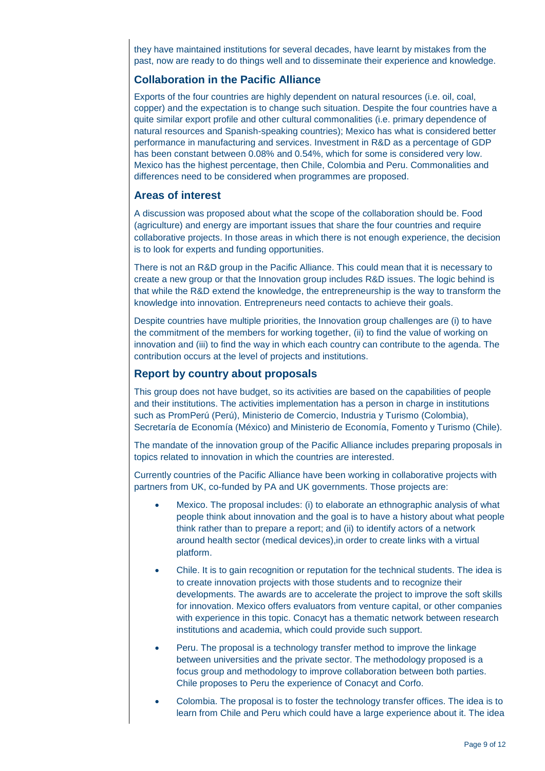they have maintained institutions for several decades, have learnt by mistakes from the past, now are ready to do things well and to disseminate their experience and knowledge.

#### **Collaboration in the Pacific Alliance**

Exports of the four countries are highly dependent on natural resources (i.e. oil, coal, copper) and the expectation is to change such situation. Despite the four countries have a quite similar export profile and other cultural commonalities (i.e. primary dependence of natural resources and Spanish-speaking countries); Mexico has what is considered better performance in manufacturing and services. Investment in R&D as a percentage of GDP has been constant between 0.08% and 0.54%, which for some is considered very low. Mexico has the highest percentage, then Chile, Colombia and Peru. Commonalities and differences need to be considered when programmes are proposed.

#### **Areas of interest**

A discussion was proposed about what the scope of the collaboration should be. Food (agriculture) and energy are important issues that share the four countries and require collaborative projects. In those areas in which there is not enough experience, the decision is to look for experts and funding opportunities.

There is not an R&D group in the Pacific Alliance. This could mean that it is necessary to create a new group or that the Innovation group includes R&D issues. The logic behind is that while the R&D extend the knowledge, the entrepreneurship is the way to transform the knowledge into innovation. Entrepreneurs need contacts to achieve their goals.

Despite countries have multiple priorities, the Innovation group challenges are (i) to have the commitment of the members for working together, (ii) to find the value of working on innovation and (iii) to find the way in which each country can contribute to the agenda. The contribution occurs at the level of projects and institutions.

#### **Report by country about proposals**

This group does not have budget, so its activities are based on the capabilities of people and their institutions. The activities implementation has a person in charge in institutions such as PromPerú (Perú), Ministerio de Comercio, Industria y Turismo (Colombia), Secretaría de Economía (México) and Ministerio de Economía, Fomento y Turismo (Chile).

The mandate of the innovation group of the Pacific Alliance includes preparing proposals in topics related to innovation in which the countries are interested.

Currently countries of the Pacific Alliance have been working in collaborative projects with partners from UK, co-funded by PA and UK governments. Those projects are:

- Mexico. The proposal includes: (i) to elaborate an ethnographic analysis of what people think about innovation and the goal is to have a history about what people think rather than to prepare a report; and (ii) to identify actors of a network around health sector (medical devices),in order to create links with a virtual platform.
- Chile. It is to gain recognition or reputation for the technical students. The idea is to create innovation projects with those students and to recognize their developments. The awards are to accelerate the project to improve the soft skills for innovation. Mexico offers evaluators from venture capital, or other companies with experience in this topic. Conacyt has a thematic network between research institutions and academia, which could provide such support.
- Peru. The proposal is a technology transfer method to improve the linkage between universities and the private sector. The methodology proposed is a focus group and methodology to improve collaboration between both parties. Chile proposes to Peru the experience of Conacyt and Corfo.
- Colombia. The proposal is to foster the technology transfer offices. The idea is to learn from Chile and Peru which could have a large experience about it. The idea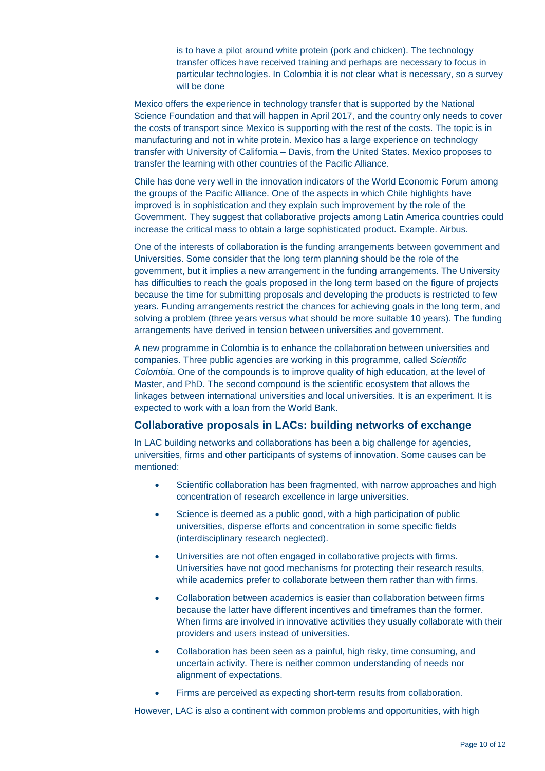is to have a pilot around white protein (pork and chicken). The technology transfer offices have received training and perhaps are necessary to focus in particular technologies. In Colombia it is not clear what is necessary, so a survey will be done

Mexico offers the experience in technology transfer that is supported by the National Science Foundation and that will happen in April 2017, and the country only needs to cover the costs of transport since Mexico is supporting with the rest of the costs. The topic is in manufacturing and not in white protein. Mexico has a large experience on technology transfer with University of California – Davis, from the United States. Mexico proposes to transfer the learning with other countries of the Pacific Alliance.

Chile has done very well in the innovation indicators of the World Economic Forum among the groups of the Pacific Alliance. One of the aspects in which Chile highlights have improved is in sophistication and they explain such improvement by the role of the Government. They suggest that collaborative projects among Latin America countries could increase the critical mass to obtain a large sophisticated product. Example. Airbus.

One of the interests of collaboration is the funding arrangements between government and Universities. Some consider that the long term planning should be the role of the government, but it implies a new arrangement in the funding arrangements. The University has difficulties to reach the goals proposed in the long term based on the figure of projects because the time for submitting proposals and developing the products is restricted to few years. Funding arrangements restrict the chances for achieving goals in the long term, and solving a problem (three years versus what should be more suitable 10 years). The funding arrangements have derived in tension between universities and government.

A new programme in Colombia is to enhance the collaboration between universities and companies. Three public agencies are working in this programme, called *Scientific Colombia*. One of the compounds is to improve quality of high education, at the level of Master, and PhD. The second compound is the scientific ecosystem that allows the linkages between international universities and local universities. It is an experiment. It is expected to work with a loan from the World Bank.

## **Collaborative proposals in LACs: building networks of exchange**

In LAC building networks and collaborations has been a big challenge for agencies, universities, firms and other participants of systems of innovation. Some causes can be mentioned:

- Scientific collaboration has been fragmented, with narrow approaches and high concentration of research excellence in large universities.
- Science is deemed as a public good, with a high participation of public universities, disperse efforts and concentration in some specific fields (interdisciplinary research neglected).
- Universities are not often engaged in collaborative projects with firms. Universities have not good mechanisms for protecting their research results, while academics prefer to collaborate between them rather than with firms.
- Collaboration between academics is easier than collaboration between firms because the latter have different incentives and timeframes than the former. When firms are involved in innovative activities they usually collaborate with their providers and users instead of universities.
- Collaboration has been seen as a painful, high risky, time consuming, and uncertain activity. There is neither common understanding of needs nor alignment of expectations.
- Firms are perceived as expecting short-term results from collaboration.

However, LAC is also a continent with common problems and opportunities, with high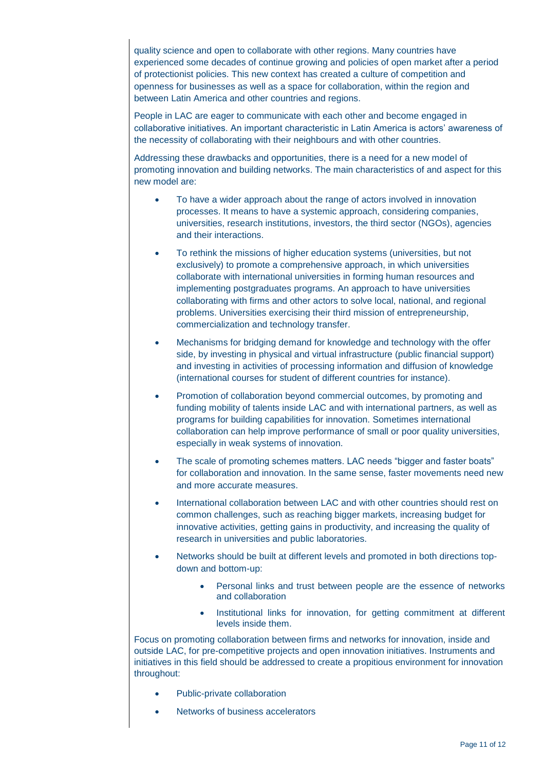quality science and open to collaborate with other regions. Many countries have experienced some decades of continue growing and policies of open market after a period of protectionist policies. This new context has created a culture of competition and openness for businesses as well as a space for collaboration, within the region and between Latin America and other countries and regions.

People in LAC are eager to communicate with each other and become engaged in collaborative initiatives. An important characteristic in Latin America is actors' awareness of the necessity of collaborating with their neighbours and with other countries.

Addressing these drawbacks and opportunities, there is a need for a new model of promoting innovation and building networks. The main characteristics of and aspect for this new model are:

- To have a wider approach about the range of actors involved in innovation processes. It means to have a systemic approach, considering companies, universities, research institutions, investors, the third sector (NGOs), agencies and their interactions.
- To rethink the missions of higher education systems (universities, but not exclusively) to promote a comprehensive approach, in which universities collaborate with international universities in forming human resources and implementing postgraduates programs. An approach to have universities collaborating with firms and other actors to solve local, national, and regional problems. Universities exercising their third mission of entrepreneurship, commercialization and technology transfer.
- Mechanisms for bridging demand for knowledge and technology with the offer side, by investing in physical and virtual infrastructure (public financial support) and investing in activities of processing information and diffusion of knowledge (international courses for student of different countries for instance).
- Promotion of collaboration beyond commercial outcomes, by promoting and funding mobility of talents inside LAC and with international partners, as well as programs for building capabilities for innovation. Sometimes international collaboration can help improve performance of small or poor quality universities, especially in weak systems of innovation.
- The scale of promoting schemes matters. LAC needs "bigger and faster boats" for collaboration and innovation. In the same sense, faster movements need new and more accurate measures.
- International collaboration between LAC and with other countries should rest on common challenges, such as reaching bigger markets, increasing budget for innovative activities, getting gains in productivity, and increasing the quality of research in universities and public laboratories.
- Networks should be built at different levels and promoted in both directions topdown and bottom-up:
	- Personal links and trust between people are the essence of networks and collaboration
	- Institutional links for innovation, for getting commitment at different levels inside them.

Focus on promoting collaboration between firms and networks for innovation, inside and outside LAC, for pre-competitive projects and open innovation initiatives. Instruments and initiatives in this field should be addressed to create a propitious environment for innovation throughout:

- Public-private collaboration
- Networks of business accelerators